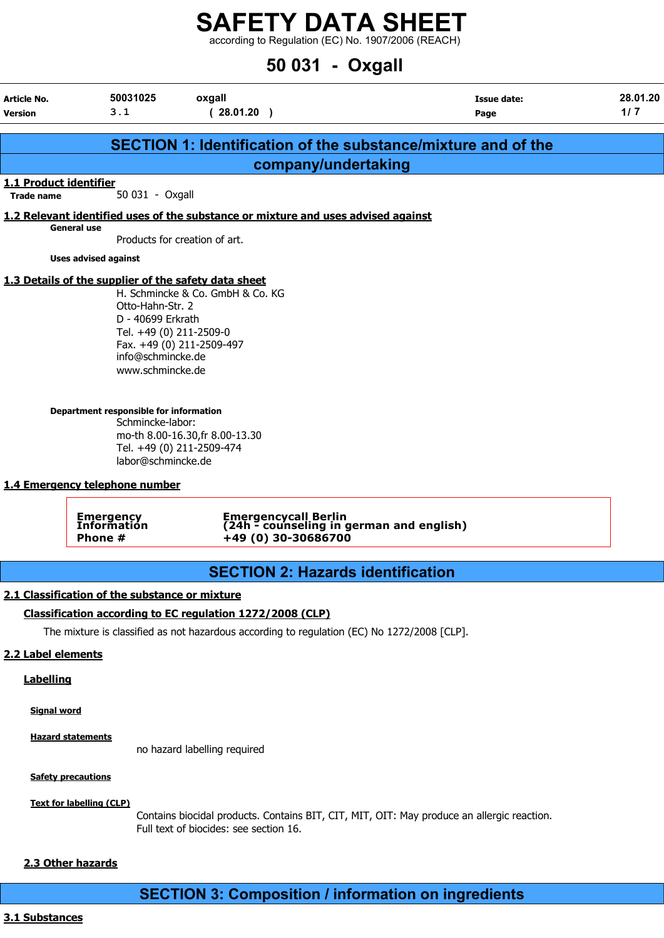according to Regulation (EC) No. 1907/2006 (REACH)

# 50 031 - Oxgall

| Article No.<br><b>Version</b> | 50031025<br>3.1                                                                                                                                                                                                                                                                                                                       | oxgall<br>(28.01.20)                                                                                                                                                                                                      | <b>Issue date:</b><br>Page                                           | 28.01.20<br>1/7 |
|-------------------------------|---------------------------------------------------------------------------------------------------------------------------------------------------------------------------------------------------------------------------------------------------------------------------------------------------------------------------------------|---------------------------------------------------------------------------------------------------------------------------------------------------------------------------------------------------------------------------|----------------------------------------------------------------------|-----------------|
|                               |                                                                                                                                                                                                                                                                                                                                       |                                                                                                                                                                                                                           | <b>SECTION 1: Identification of the substance/mixture and of the</b> |                 |
|                               |                                                                                                                                                                                                                                                                                                                                       | company/undertaking                                                                                                                                                                                                       |                                                                      |                 |
| 1.1 Product identifier        |                                                                                                                                                                                                                                                                                                                                       |                                                                                                                                                                                                                           |                                                                      |                 |
| <b>Trade name</b>             | 50 031 - Oxgall                                                                                                                                                                                                                                                                                                                       |                                                                                                                                                                                                                           |                                                                      |                 |
|                               | <b>General use</b>                                                                                                                                                                                                                                                                                                                    | 1.2 Relevant identified uses of the substance or mixture and uses advised against                                                                                                                                         |                                                                      |                 |
|                               |                                                                                                                                                                                                                                                                                                                                       | Products for creation of art.                                                                                                                                                                                             |                                                                      |                 |
|                               | <b>Uses advised against</b>                                                                                                                                                                                                                                                                                                           |                                                                                                                                                                                                                           |                                                                      |                 |
|                               | 1.3 Details of the supplier of the safety data sheet<br>Otto-Hahn-Str. 2<br>D - 40699 Erkrath<br>Tel. +49 (0) 211-2509-0<br>info@schmincke.de<br>www.schmincke.de<br>Department responsible for information<br>Schmincke-labor:<br>labor@schmincke.de<br>1.4 Emergency telephone number<br><b>Emergency</b><br>Information<br>Phone # | H. Schmincke & Co. GmbH & Co. KG<br>Fax. +49 (0) 211-2509-497<br>mo-th 8.00-16.30, fr 8.00-13.30<br>Tel. +49 (0) 211-2509-474<br>Emergencycall Berlin<br>(24h - counseling in german and english)<br>$+49(0)$ 30-30686700 |                                                                      |                 |
|                               |                                                                                                                                                                                                                                                                                                                                       |                                                                                                                                                                                                                           |                                                                      |                 |
|                               |                                                                                                                                                                                                                                                                                                                                       | <b>SECTION 2: Hazards identification</b>                                                                                                                                                                                  |                                                                      |                 |
|                               | 2.1 Classification of the substance or mixture                                                                                                                                                                                                                                                                                        |                                                                                                                                                                                                                           |                                                                      |                 |
|                               |                                                                                                                                                                                                                                                                                                                                       | Classification according to EC regulation 1272/2008 (CLP)                                                                                                                                                                 |                                                                      |                 |
|                               |                                                                                                                                                                                                                                                                                                                                       | The mixture is classified as not hazardous according to regulation (EC) No 1272/2008 [CLP].                                                                                                                               |                                                                      |                 |
| 2.2 Label elements            |                                                                                                                                                                                                                                                                                                                                       |                                                                                                                                                                                                                           |                                                                      |                 |
| <b>Labelling</b>              |                                                                                                                                                                                                                                                                                                                                       |                                                                                                                                                                                                                           |                                                                      |                 |
| <b>Signal word</b>            |                                                                                                                                                                                                                                                                                                                                       |                                                                                                                                                                                                                           |                                                                      |                 |
|                               | <b>Hazard statements</b>                                                                                                                                                                                                                                                                                                              |                                                                                                                                                                                                                           |                                                                      |                 |

no hazard labelling required

**Safety precautions** 

Text for labelling (CLP)

Contains biocidal products. Contains BIT, CIT, MIT, OIT: May produce an allergic reaction. Full text of biocides: see section 16.

# 2.3 Other hazards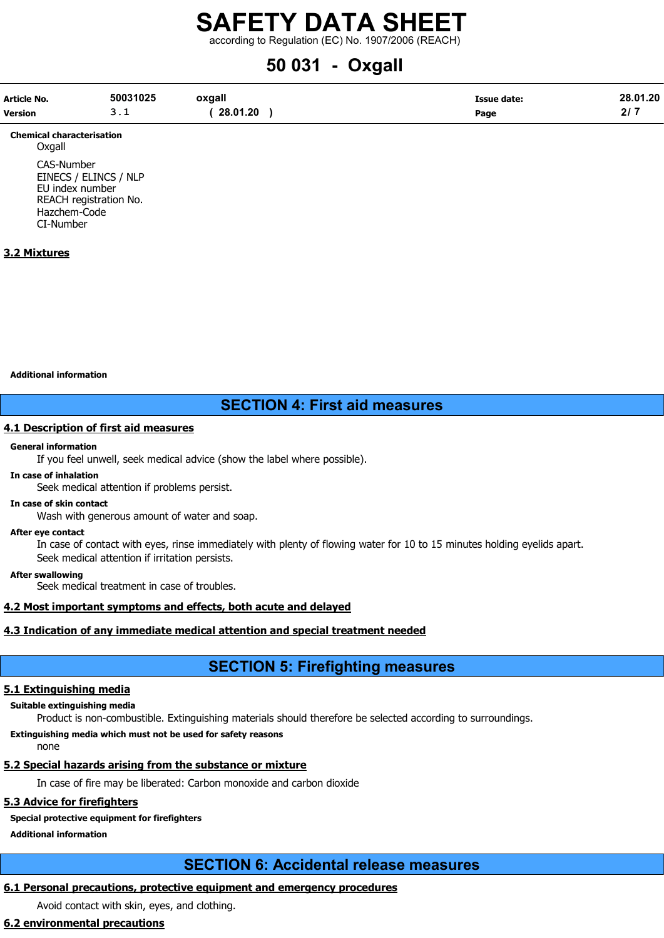according to Regulation (EC) No. 1907/2006 (REACH)

# 50 031 - Oxgall

| Article No.    | 50031025   | oxgall   | <b>Issue date:</b> | 28.01.20 |
|----------------|------------|----------|--------------------|----------|
| <b>Version</b> | <u>. .</u> | 28.01.20 | Page               |          |

Chemical characterisation **Oxgall** CAS-Number

EINECS / ELINCS / NLP EU index number REACH registration No. Hazchem-Code CI-Number

# 3.2 Mixtures

Additional information

# SECTION 4: First aid measures

# 4.1 Description of first aid measures

### General information

If you feel unwell, seek medical advice (show the label where possible).

# In case of inhalation

Seek medical attention if problems persist.

In case of skin contact

Wash with generous amount of water and soap.

#### After eye contact

In case of contact with eyes, rinse immediately with plenty of flowing water for 10 to 15 minutes holding eyelids apart. Seek medical attention if irritation persists.

After swallowing

Seek medical treatment in case of troubles.

# 4.2 Most important symptoms and effects, both acute and delayed

# 4.3 Indication of any immediate medical attention and special treatment needed

# SECTION 5: Firefighting measures

# 5.1 Extinguishing media

# Suitable extinguishing media

Product is non-combustible. Extinguishing materials should therefore be selected according to surroundings.

# Extinguishing media which must not be used for safety reasons

none

# 5.2 Special hazards arising from the substance or mixture

In case of fire may be liberated: Carbon monoxide and carbon dioxide

# 5.3 Advice for firefighters

# Special protective equipment for firefighters

Additional information

# SECTION 6: Accidental release measures

# 6.1 Personal precautions, protective equipment and emergency procedures

Avoid contact with skin, eyes, and clothing.

# 6.2 environmental precautions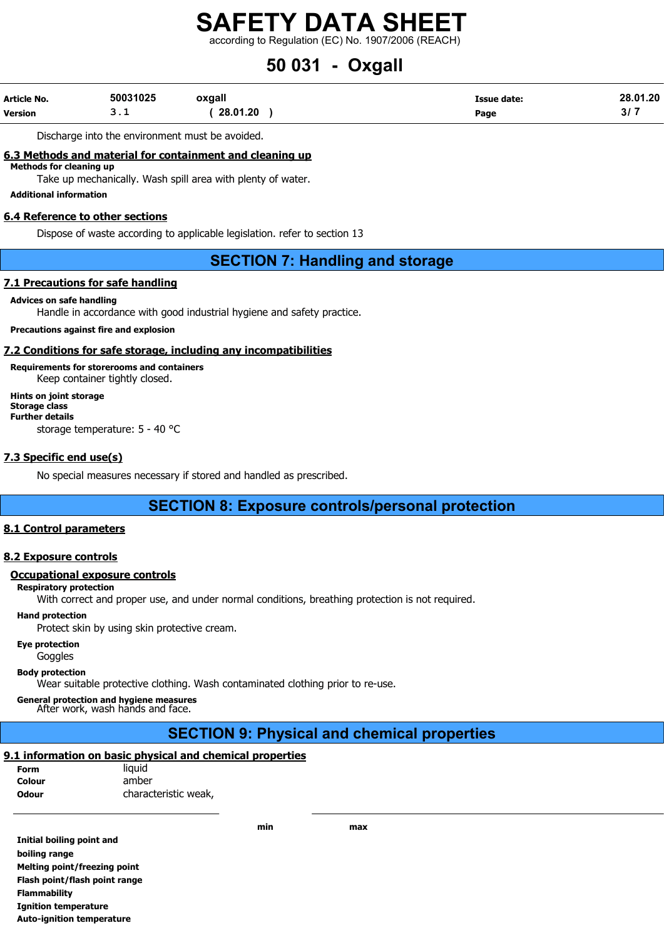according to Regulation (EC) No. 1907/2006 (REACH)

# 50 031 - Oxgall

| Article No.    | 50031025 | oxgall   | Issue date: | 28.01.20 |
|----------------|----------|----------|-------------|----------|
| <b>Version</b> | <u>.</u> | 28.01.20 | Page        | ، رجب    |

Discharge into the environment must be avoided.

# 6.3 Methods and material for containment and cleaning up

Methods for cleaning up

Take up mechanically. Wash spill area with plenty of water.

Additional information

### 6.4 Reference to other sections

Dispose of waste according to applicable legislation. refer to section 13

# SECTION 7: Handling and storage

### 7.1 Precautions for safe handling

#### Advices on safe handling

Handle in accordance with good industrial hygiene and safety practice.

### Precautions against fire and explosion

## 7.2 Conditions for safe storage, including any incompatibilities

Requirements for storerooms and containers Keep container tightly closed. Hints on joint storage Storage class Further details

storage temperature: 5 - 40 °C

# 7.3 Specific end use(s)

No special measures necessary if stored and handled as prescribed.

# SECTION 8: Exposure controls/personal protection

### 8.1 Control parameters

# 8.2 Exposure controls

#### Occupational exposure controls

#### Respiratory protection

With correct and proper use, and under normal conditions, breathing protection is not required.

## Hand protection

Protect skin by using skin protective cream.

#### Eye protection

Goggles

#### Body protection

Wear suitable protective clothing. Wash contaminated clothing prior to re-use.

General protection and hygiene measures After work, wash hands and face.

# SECTION 9: Physical and chemical properties

# 9.1 information on basic physical and chemical properties

| <b>Form</b>  | liquid               |
|--------------|----------------------|
| Colour       | amber                |
| <b>Odour</b> | characteristic weak, |

Initial boiling point and boiling range Melting point/freezing point Flash point/flash point range Flammability Ignition temperature Auto-ignition temperature

min max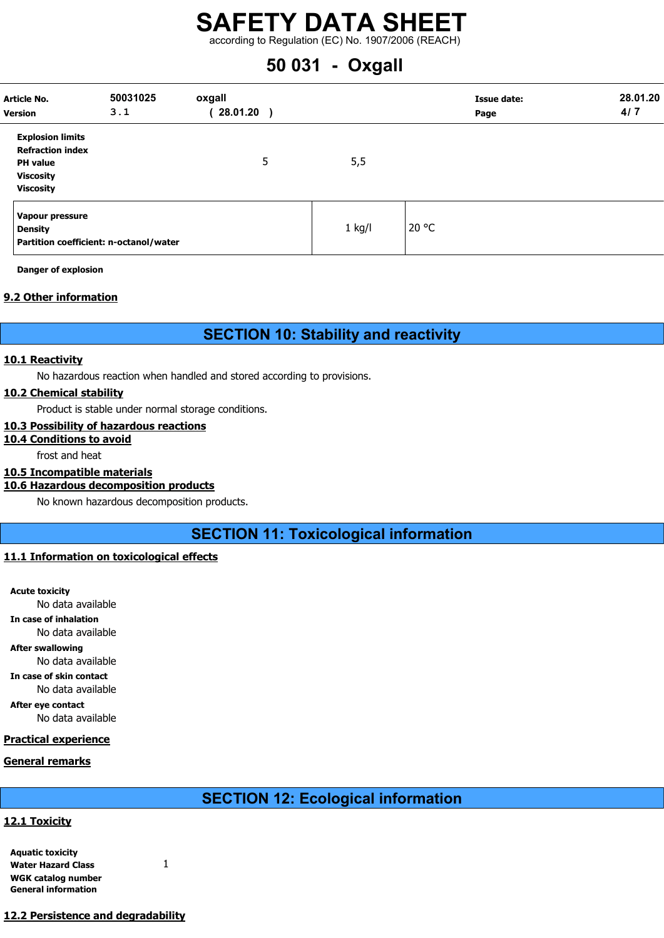according to Regulation (EC) No. 1907/2006 (REACH)

# 50 031 - Oxgall

| Article No.<br><b>Version</b>                                                                                 | 50031025<br>3.1                        | oxgall<br>28.01.20 |          | Issue date:<br>Page | 28.01.20<br>4/7 |
|---------------------------------------------------------------------------------------------------------------|----------------------------------------|--------------------|----------|---------------------|-----------------|
| <b>Explosion limits</b><br><b>Refraction index</b><br><b>PH</b> value<br><b>Viscosity</b><br><b>Viscosity</b> |                                        | 5                  | 5,5      |                     |                 |
| Vapour pressure<br><b>Density</b>                                                                             | Partition coefficient: n-octanol/water |                    | $1$ kg/l | 20 °C               |                 |

Danger of explosion

# 9.2 Other information

# SECTION 10: Stability and reactivity

### 10.1 Reactivity

No hazardous reaction when handled and stored according to provisions.

# 10.2 Chemical stability

Product is stable under normal storage conditions.

# 10.3 Possibility of hazardous reactions

# 10.4 Conditions to avoid

frost and heat

# 10.5 Incompatible materials

# 10.6 Hazardous decomposition products

No known hazardous decomposition products.

SECTION 11: Toxicological information

# 11.1 Information on toxicological effects

Acute toxicity No data available In case of inhalation No data available After swallowing No data available In case of skin contact No data available After eye contact No data available

# Practical experience

# General remarks

SECTION 12: Ecological information

# 12.1 Toxicity

| <b>Aquatic toxicity</b>    |  |
|----------------------------|--|
| <b>Water Hazard Class</b>  |  |
| WGK catalog number         |  |
| <b>General information</b> |  |

12.2 Persistence and degradability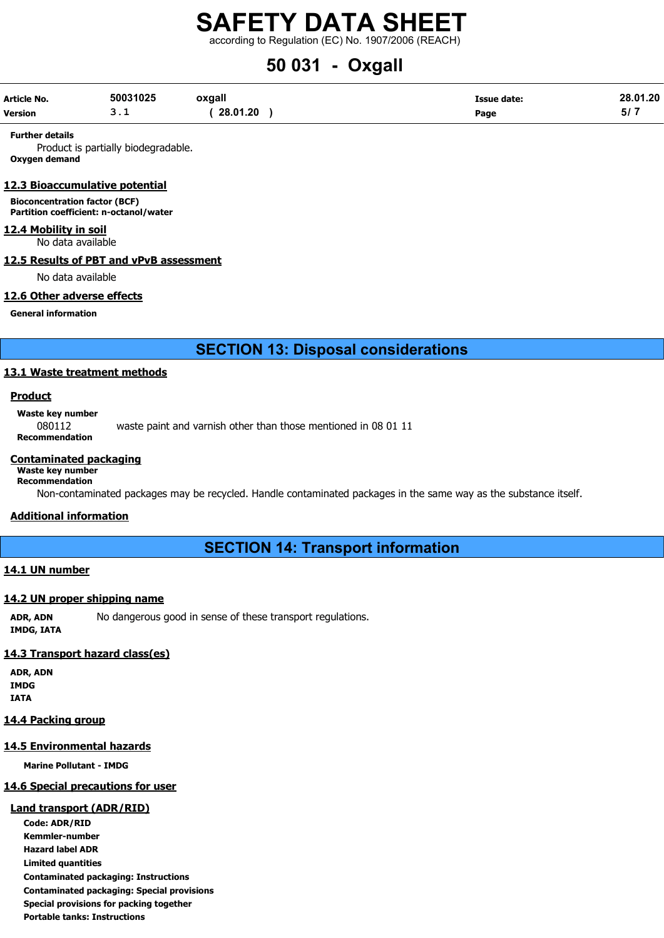according to Regulation (EC) No. 1907/2006 (REACH)

# 50 031 - Oxgall

| Article No.    | 50031025 | oxgall   | Issue date: | 28.01.20 |
|----------------|----------|----------|-------------|----------|
| <b>Version</b> | <u>.</u> | 28.01.20 | Page        | 51       |

#### Further details

Product is partially biodegradable. Oxygen demand

#### 12.3 Bioaccumulative potential

Bioconcentration factor (BCF) Partition coefficient: n-octanol/water

#### 12.4 Mobility in soil

No data available

# 12.5 Results of PBT and vPvB assessment

No data available

### 12.6 Other adverse effects

General information

SECTION 13: Disposal considerations

# 13.1 Waste treatment methods

# **Product**

Waste key number

080112 waste paint and varnish other than those mentioned in 08 01 11

Recommendation

### Contaminated packaging

#### Waste key number Recommendation

Non-contaminated packages may be recycled. Handle contaminated packages in the same way as the substance itself.

# Additional information

SECTION 14: Transport information

# 14.1 UN number

#### 14.2 UN proper shipping name

ADR, ADN No dangerous good in sense of these transport regulations. IMDG, IATA

# 14.3 Transport hazard class(es)

ADR, ADN IMDG IATA

# 14.4 Packing group

# 14.5 Environmental hazards

Marine Pollutant - IMDG

# 14.6 Special precautions for user

# Land transport (ADR/RID)

Code: ADR/RID Kemmler-number Hazard label ADR Limited quantities Contaminated packaging: Instructions Contaminated packaging: Special provisions Special provisions for packing together Portable tanks: Instructions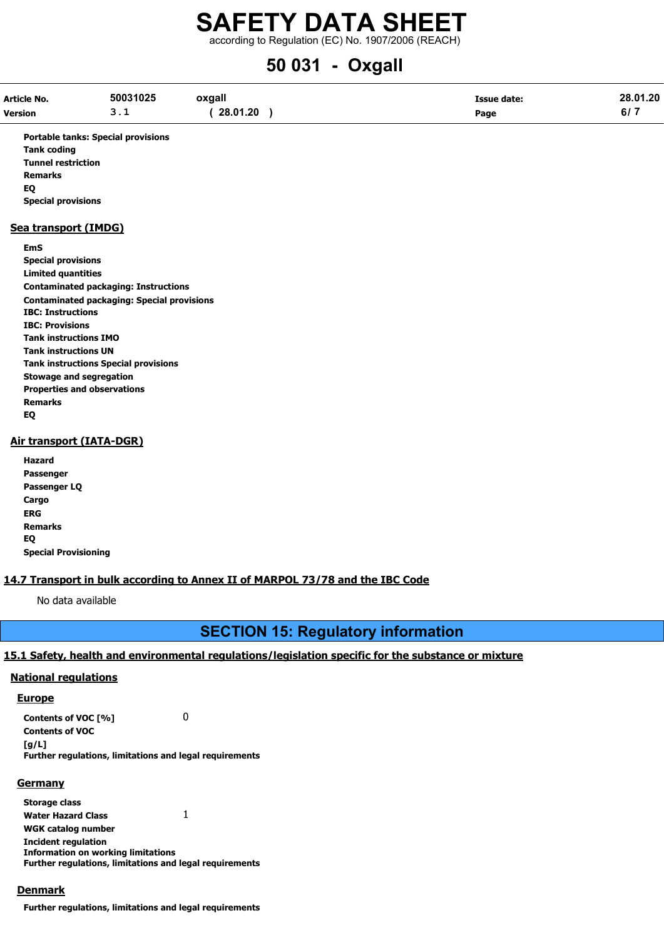according to Regulation (EC) No. 1907/2006 (REACH)

# 50 031 - Oxgall

| Article No.    | 50031025 | oxgall   | Issue date: | 28.01.20 |
|----------------|----------|----------|-------------|----------|
| <b>Version</b> | <u>.</u> | 28.01.20 | Page        | 6/7      |

Portable tanks: Special provisions Tank coding Tunnel restriction Remarks EQ Special provisions

### Sea transport (IMDG)

EmS Special provisions Limited quantities Contaminated packaging: Instructions Contaminated packaging: Special provisions IBC: Instructions IBC: Provisions Tank instructions IMO Tank instructions UN Tank instructions Special provisions Stowage and segregation Properties and observations Remarks EQ

# Air transport (IATA-DGR)

Hazard Passenger Passenger LQ **Cargo** ERG Remarks EQ Special Provisioning

# 14.7 Transport in bulk according to Annex II of MARPOL 73/78 and the IBC Code

No data available

# SECTION 15: Regulatory information

# 15.1 Safety, health and environmental regulations/legislation specific for the substance or mixture

# National regulations

# **Europe**

Contents of VOC [%] 0 Contents of VOC  $[a/L]$ Further regulations, limitations and legal requirements

# **Germany**

Storage class Water Hazard Class 1 WGK catalog number Incident regulation Information on working limitations Further regulations, limitations and legal requirements

# **Denmark**

Further regulations, limitations and legal requirements